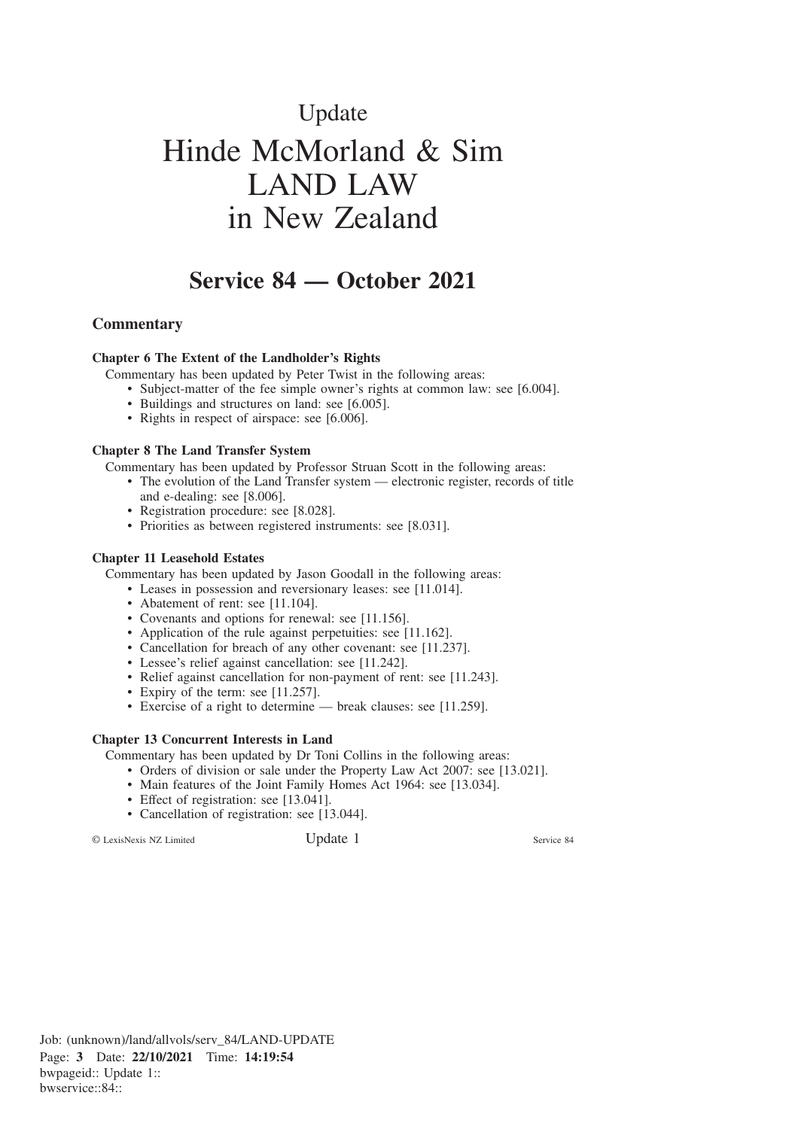# Update Hinde McMorland & Sim LAND LAW in New Zealand

## **Service 84 — October 2021**

#### **Commentary**

#### **Chapter 6 The Extent of the Landholder's Rights**

Commentary has been updated by Peter Twist in the following areas:

- Subject-matter of the fee simple owner's rights at common law: see [6.004].
- Buildings and structures on land: see [6.005].
- Rights in respect of airspace: see [6.006].

#### **Chapter 8 The Land Transfer System**

Commentary has been updated by Professor Struan Scott in the following areas:

- The evolution of the Land Transfer system electronic register, records of title and e-dealing: see [8.006].
	- Registration procedure: see [8.028].
	- Priorities as between registered instruments: see [8.031].

#### **Chapter 11 Leasehold Estates**

Commentary has been updated by Jason Goodall in the following areas:

- Leases in possession and reversionary leases: see [11.014].
- Abatement of rent: see [11.104].
- Covenants and options for renewal: see [11.156].
- Application of the rule against perpetuities: see [11.162].
- Cancellation for breach of any other covenant: see [11.237].
- Lessee's relief against cancellation: see [11.242].
- Relief against cancellation for non-payment of rent: see [11.243].
- Expiry of the term: see [11.257].
- Exercise of a right to determine break clauses: see [11.259].

#### **Chapter 13 Concurrent Interests in Land**

Commentary has been updated by Dr Toni Collins in the following areas:

- Orders of division or sale under the Property Law Act 2007: see [13.021].
- Main features of the Joint Family Homes Act 1964: see [13.034].
- Effect of registration: see [13.041].
- Cancellation of registration: see [13.044].

© LexisNexis NZ Limited Update 1 Service 84